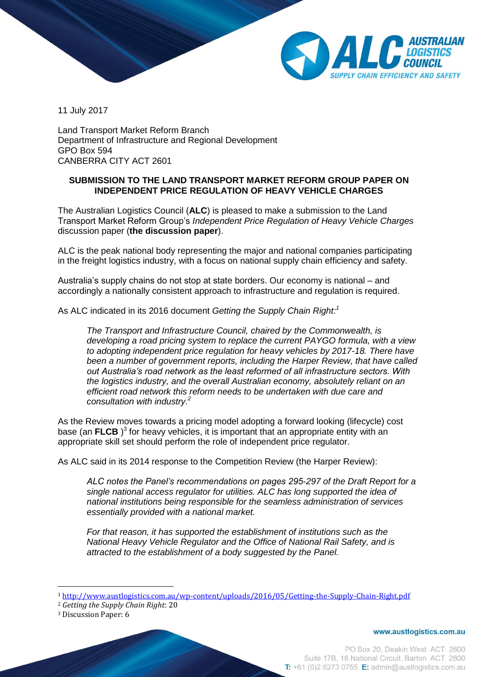

11 July 2017

Land Transport Market Reform Branch Department of Infrastructure and Regional Development GPO Box 594 CANBERRA CITY ACT 2601

## **SUBMISSION TO THE LAND TRANSPORT MARKET REFORM GROUP PAPER ON INDEPENDENT PRICE REGULATION OF HEAVY VEHICLE CHARGES**

The Australian Logistics Council (**ALC**) is pleased to make a submission to the Land Transport Market Reform Group's *Independent Price Regulation of Heavy Vehicle Charges* discussion paper (**the discussion paper**).

ALC is the peak national body representing the major and national companies participating in the freight logistics industry, with a focus on national supply chain efficiency and safety.

Australia's supply chains do not stop at state borders. Our economy is national – and accordingly a nationally consistent approach to infrastructure and regulation is required.

As ALC indicated in its 2016 document *Getting the Supply Chain Right: 1*

*The Transport and Infrastructure Council, chaired by the Commonwealth, is developing a road pricing system to replace the current PAYGO formula, with a view to adopting independent price regulation for heavy vehicles by 2017-18. There have been a number of government reports, including the Harper Review, that have called out Australia's road network as the least reformed of all infrastructure sectors. With the logistics industry, and the overall Australian economy, absolutely reliant on an efficient road network this reform needs to be undertaken with due care and consultation with industry.<sup>2</sup>*

As the Review moves towards a pricing model adopting a forward looking (lifecycle) cost base (an FLCB)<sup>3</sup> for heavy vehicles, it is important that an appropriate entity with an appropriate skill set should perform the role of independent price regulator.

As ALC said in its 2014 response to the Competition Review (the Harper Review):

*ALC notes the Panel's recommendations on pages 295-297 of the Draft Report for a single national access regulator for utilities. ALC has long supported the idea of national institutions being responsible for the seamless administration of services essentially provided with a national market.*

*For that reason, it has supported the establishment of institutions such as the National Heavy Vehicle Regulator and the Office of National Rail Safety, and is attracted to the establishment of a body suggested by the Panel.* 

 $\overline{a}$ 

www.austlogistics.com.au

<sup>1</sup> <http://www.austlogistics.com.au/wp-content/uploads/2016/05/Getting-the-Supply-Chain-Right.pdf>

<sup>2</sup> *Getting the Supply Chain Right*: 20

<sup>3</sup> Discussion Paper: 6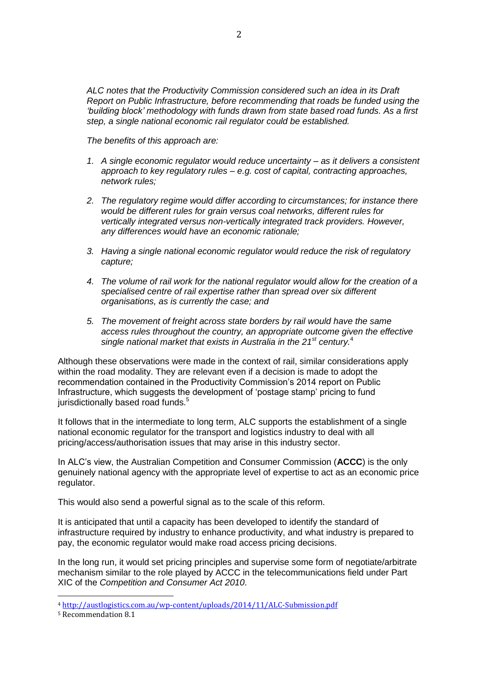*ALC notes that the Productivity Commission considered such an idea in its Draft Report on Public Infrastructure, before recommending that roads be funded using the 'building block' methodology with funds drawn from state based road funds. As a first step, a single national economic rail regulator could be established.*

*The benefits of this approach are:*

- *1. A single economic regulator would reduce uncertainty – as it delivers a consistent approach to key regulatory rules – e.g. cost of capital, contracting approaches, network rules;*
- *2. The regulatory regime would differ according to circumstances; for instance there would be different rules for grain versus coal networks, different rules for vertically integrated versus non-vertically integrated track providers. However, any differences would have an economic rationale;*
- *3. Having a single national economic regulator would reduce the risk of regulatory capture;*
- *4. The volume of rail work for the national regulator would allow for the creation of a specialised centre of rail expertise rather than spread over six different organisations, as is currently the case; and*
- *5. The movement of freight across state borders by rail would have the same access rules throughout the country, an appropriate outcome given the effective single national market that exists in Australia in the 21st century.*<sup>4</sup>

Although these observations were made in the context of rail, similar considerations apply within the road modality. They are relevant even if a decision is made to adopt the recommendation contained in the Productivity Commission's 2014 report on Public Infrastructure, which suggests the development of 'postage stamp' pricing to fund jurisdictionally based road funds.<sup>5</sup>

It follows that in the intermediate to long term, ALC supports the establishment of a single national economic regulator for the transport and logistics industry to deal with all pricing/access/authorisation issues that may arise in this industry sector.

In ALC's view, the Australian Competition and Consumer Commission (**ACCC**) is the only genuinely national agency with the appropriate level of expertise to act as an economic price regulator.

This would also send a powerful signal as to the scale of this reform.

It is anticipated that until a capacity has been developed to identify the standard of infrastructure required by industry to enhance productivity, and what industry is prepared to pay, the economic regulator would make road access pricing decisions.

In the long run, it would set pricing principles and supervise some form of negotiate/arbitrate mechanism similar to the role played by ACCC in the telecommunications field under Part XIC of the *Competition and Consumer Act 2010*.

 $\overline{a}$ 

<sup>4</sup> <http://austlogistics.com.au/wp-content/uploads/2014/11/ALC-Submission.pdf>

<sup>5</sup> Recommendation 8.1